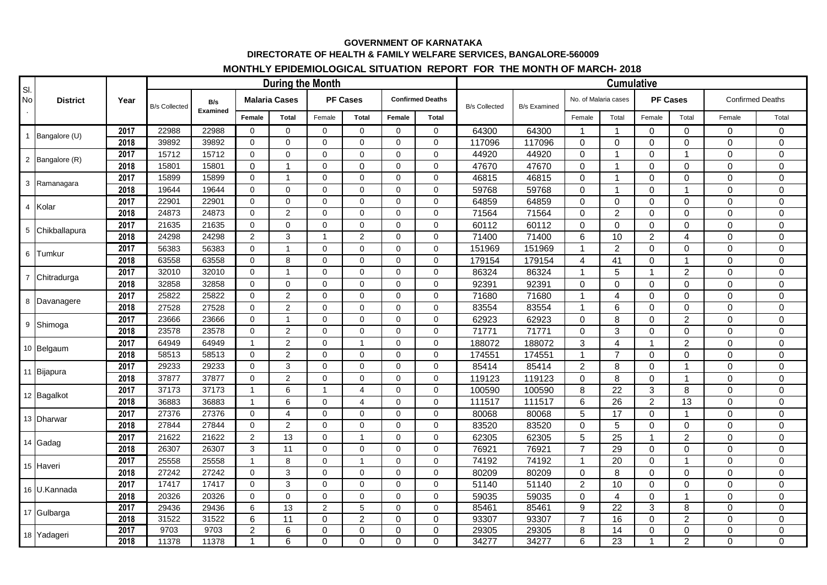## **GOVERNMENT OF KARNATAKA DIRECTORATE OF HEALTH & FAMILY WELFARE SERVICES, BANGALORE-560009**

## **MONTHLY EPIDEMIOLOGICAL SITUATION REPORT FOR THE MONTH OF MARCH- 2018**

| SI.<br>No | <b>District</b> | Year | During the Month     |                 |                      |                |                 |                |                         |                |                      | <b>Cumulative</b>   |                      |                 |                 |                |                         |             |  |
|-----------|-----------------|------|----------------------|-----------------|----------------------|----------------|-----------------|----------------|-------------------------|----------------|----------------------|---------------------|----------------------|-----------------|-----------------|----------------|-------------------------|-------------|--|
|           |                 |      | <b>B/s Collected</b> | B/s<br>Examined | <b>Malaria Cases</b> |                | <b>PF Cases</b> |                | <b>Confirmed Deaths</b> |                | <b>B/s Collected</b> | <b>B/s Examined</b> | No. of Malaria cases |                 | <b>PF Cases</b> |                | <b>Confirmed Deaths</b> |             |  |
|           |                 |      |                      |                 | Female               | <b>Total</b>   | Female          | <b>Total</b>   | Female                  | Total          |                      |                     | Female               | Total           | Female          | Total          | Female                  | Total       |  |
|           |                 | 2017 | 22988                | 22988           | $\Omega$             | $\Omega$       | $\Omega$        | $\Omega$       | $\Omega$                | $\Omega$       | 64300                | 64300               | $\mathbf 1$          | $\mathbf{1}$    | $\mathbf 0$     | $\Omega$       | 0                       | $\mathbf 0$ |  |
|           | 1 Bangalore (U) | 2018 | 39892                | 39892           | $\mathbf 0$          | $\mathbf 0$    | $\mathbf 0$     | $\mathbf 0$    | $\mathbf 0$             | $\mathbf 0$    | 117096               | 117096              | 0                    | $\mathbf 0$     | $\pmb{0}$       | $\mathbf 0$    | $\mathbf 0$             | $\mathbf 0$ |  |
|           | 2 Bangalore (R) | 2017 | 15712                | 15712           | $\mathbf 0$          | $\Omega$       | $\Omega$        | $\mathbf 0$    | $\Omega$                | $\Omega$       | 44920                | 44920               | $\Omega$             | $\overline{1}$  | $\mathbf 0$     | $\overline{1}$ | $\mathbf 0$             | $\mathbf 0$ |  |
|           |                 | 2018 | 15801                | 15801           | $\Omega$             | $\overline{1}$ | $\Omega$        | $\mathbf 0$    | $\Omega$                | $\Omega$       | 47670                | 47670               | $\Omega$             | $\mathbf{1}$    | $\mathbf 0$     | $\Omega$       | $\mathbf 0$             | $\mathbf 0$ |  |
|           | 3 Ramanagara    | 2017 | 15899                | 15899           | $\mathbf 0$          | $\overline{1}$ | $\mathbf{0}$    | $\mathbf 0$    | $\mathbf 0$             | $\Omega$       | 46815                | 46815               | $\Omega$             | $\mathbf{1}$    | $\mathsf{O}$    | $\mathbf 0$    | $\mathbf 0$             | $\mathbf 0$ |  |
|           |                 | 2018 | 19644                | 19644           | $\mathbf 0$          | $\Omega$       | $\mathbf 0$     | $\mathbf 0$    | $\mathbf 0$             | $\Omega$       | 59768                | 59768               | $\Omega$             | $\mathbf{1}$    | $\mathbf 0$     | $\overline{1}$ | 0                       | $\mathbf 0$ |  |
|           | 4 Kolar         | 2017 | 22901                | 22901           | $\mathbf 0$          | $\Omega$       | $\mathbf 0$     | $\mathbf 0$    | $\mathbf 0$             | $\Omega$       | 64859                | 64859               | $\Omega$             | $\Omega$        | $\mathsf{O}$    | $\Omega$       | $\overline{0}$          | $\mathbf 0$ |  |
|           |                 | 2018 | 24873                | 24873           | $\mathbf 0$          | $\overline{2}$ | $\mathbf 0$     | $\mathbf 0$    | $\mathbf 0$             | $\mathbf 0$    | 71564                | 71564               | $\Omega$             | $\overline{2}$  | $\mathsf{O}$    | $\mathbf 0$    | $\mathbf 0$             | $\pmb{0}$   |  |
|           | 5 Chikballapura | 2017 | 21635                | 21635           | $\mathbf 0$          | 0              | $\mathbf 0$     | $\mathbf 0$    | $\mathbf 0$             | $\mathbf 0$    | 60112                | 60112               | $\mathbf 0$          | $\mathbf 0$     | $\pmb{0}$       | $\mathbf 0$    | $\mathbf 0$             | $\mathbf 0$ |  |
|           |                 | 2018 | 24298                | 24298           | $\overline{2}$       | 3              | $\overline{1}$  | $\overline{c}$ | $\Omega$                | $\Omega$       | 71400                | 71400               | 6                    | 10              | $\overline{2}$  | $\overline{4}$ | $\Omega$                | $\mathbf 0$ |  |
|           | 6 Tumkur        | 2017 | 56383                | 56383           | $\mathsf 0$          | $\overline{1}$ | $\Omega$        | $\Omega$       | $\Omega$                | $\Omega$       | 151969               | 151969              | 1                    | $\overline{2}$  | $\mathbf 0$     | $\mathbf 0$    | $\mathbf 0$             | $\mathbf 0$ |  |
|           |                 | 2018 | 63558                | 63558           | $\mathbf 0$          | 8              | $\mathbf{0}$    | $\mathbf 0$    | $\mathbf 0$             | $\Omega$       | 179154               | 179154              | $\overline{4}$       | 41              | $\mathbf 0$     | $\overline{1}$ | $\mathbf 0$             | $\mathbf 0$ |  |
|           | 7 Chitradurga   | 2017 | 32010                | 32010           | $\mathbf 0$          | $\overline{1}$ | $\mathbf 0$     | $\mathbf 0$    | $\mathbf 0$             | $\Omega$       | 86324                | 86324               | 1                    | 5               | $\mathbf{1}$    | 2              | 0                       | $\mathbf 0$ |  |
|           |                 | 2018 | 32858                | 32858           | $\mathbf 0$          | $\Omega$       | $\Omega$        | $\mathbf 0$    | $\mathbf 0$             | $\Omega$       | 92391                | 92391               | $\Omega$             | $\Omega$        | $\mathbf 0$     | $\Omega$       | $\overline{0}$          | $\mathbf 0$ |  |
|           | 8 Davanagere    | 2017 | 25822                | 25822           | $\mathbf 0$          | $\overline{2}$ | $\Omega$        | $\mathbf 0$    | $\mathbf 0$             | $\mathbf 0$    | 71680                | 71680               | -1                   | $\overline{4}$  | $\mathbf 0$     | $\Omega$       | $\mathbf 0$             | $\mathbf 0$ |  |
|           |                 | 2018 | 27528                | 27528           | $\mathbf 0$          | $\overline{c}$ | $\mathbf 0$     | $\mathbf 0$    | $\mathbf 0$             | $\mathbf 0$    | 83554                | 83554               | $\overline{1}$       | 6               | $\mathbf 0$     | $\Omega$       | $\mathbf 0$             | $\mathbf 0$ |  |
|           | 9 Shimoga       | 2017 | 23666                | 23666           | $\mathbf 0$          | $\overline{1}$ | $\Omega$        | $\Omega$       | $\Omega$                | $\Omega$       | 62923                | 62923               | $\Omega$             | 8               | $\Omega$        | $\overline{2}$ | $\mathbf 0$             | $\mathbf 0$ |  |
|           |                 | 2018 | 23578                | 23578           | $\mathsf 0$          | $\overline{2}$ | $\mathbf{0}$    | $\pmb{0}$      | $\mathbf 0$             | $\Omega$       | 71771                | 71771               | $\Omega$             | 3               | $\mathbf 0$     | $\mathbf 0$    | $\mathbf 0$             | $\mathbf 0$ |  |
|           | 10 Belgaum      | 2017 | 64949                | 64949           | $\mathbf{1}$         | $\overline{2}$ | $\Omega$        | $\overline{1}$ | $\mathbf 0$             | $\Omega$       | 188072               | 188072              | 3                    | 4               | $\mathbf{1}$    | $\overline{2}$ | $\mathbf 0$             | $\mathbf 0$ |  |
|           |                 | 2018 | 58513                | 58513           | $\mathbf 0$          | 2              | $\Omega$        | $\mathbf 0$    | $\mathbf 0$             | $\Omega$       | 174551               | 174551              | $\mathbf 1$          | $\overline{7}$  | $\mathbf 0$     | $\mathbf{0}$   | 0                       | $\mathbf 0$ |  |
|           | 11 Bijapura     | 2017 | 29233                | 29233           | $\Omega$             | 3              | $\Omega$        | $\Omega$       | $\Omega$                | $\Omega$       | 85414                | 85414               | $\overline{c}$       | 8               | $\mathbf 0$     | $\overline{1}$ | $\mathbf 0$             | $\mathbf 0$ |  |
|           |                 | 2018 | 37877                | 37877           | $\mathbf 0$          | $\overline{2}$ | $\Omega$        | $\mathbf 0$    | $\mathbf 0$             | $\mathbf 0$    | 119123               | 119123              | $\Omega$             | 8               | $\mathsf{O}$    | $\overline{1}$ | $\mathbf 0$             | $\mathbf 0$ |  |
|           | 12 Bagalkot     | 2017 | 37173                | 37173           | $\mathbf{1}$         | 6              | $\mathbf{1}$    | $\overline{4}$ | $\Omega$                | $\mathbf 0$    | 100590               | 100590              | 8                    | $\overline{22}$ | $\mathfrak{S}$  | 8              | $\mathbf 0$             | $\mathbf 0$ |  |
|           |                 | 2018 | 36883                | 36883           | $\mathbf{1}$         | 6              | $\Omega$        | $\overline{4}$ | $\Omega$                | $\Omega$       | 111517               | 111517              | 6                    | 26              | $\overline{2}$  | 13             | $\overline{0}$          | $\Omega$    |  |
|           | 13 Dharwar      | 2017 | 27376                | 27376           | $\mathbf 0$          | $\overline{4}$ | $\mathbf{0}$    | $\mathbf 0$    | $\mathbf 0$             | $\Omega$       | 80068                | 80068               | 5                    | $\overline{17}$ | $\mathbf 0$     | $\overline{1}$ | $\mathbf 0$             | $\mathbf 0$ |  |
|           |                 | 2018 | 27844                | 27844           | $\mathbf 0$          | 2              | $\mathbf 0$     | $\mathbf 0$    | $\mathbf 0$             | $\Omega$       | 83520                | 83520               | $\Omega$             | 5               | $\mathbf 0$     | $\Omega$       | $\mathbf 0$             | $\mathbf 0$ |  |
|           | 14 Gadag        | 2017 | 21622                | 21622           | $\overline{2}$       | 13             | $\mathbf 0$     | $\mathbf{1}$   | $\mathbf 0$             | $\Omega$       | 62305                | 62305               | 5                    | 25              | $\mathbf{1}$    | 2              | 0                       | $\mathbf 0$ |  |
|           |                 | 2018 | 26307                | 26307           | 3                    | 11             | $\mathbf 0$     | $\mathbf 0$    | $\mathbf 0$             | $\mathbf 0$    | 76921                | 76921               | $\overline{7}$       | 29              | $\mathbf 0$     | $\mathbf 0$    | $\mathbf 0$             | $\mathbf 0$ |  |
|           | 15 Haveri       | 2017 | 25558                | 25558           | $\mathbf{1}$         | 8              | $\Omega$        | $\mathbf{1}$   | $\mathbf 0$             | $\mathbf 0$    | 74192                | 74192               | $\mathbf{1}$         | $\overline{20}$ | $\mathsf{O}$    | $\overline{1}$ | $\mathbf 0$             | $\mathbf 0$ |  |
|           |                 | 2018 | 27242                | 27242           | $\mathbf 0$          | 3              | $\Omega$        | $\mathbf 0$    | $\Omega$                | $\Omega$       | 80209                | 80209               | $\Omega$             | 8               | $\mathbf 0$     | $\Omega$       | $\Omega$                | $\mathbf 0$ |  |
|           | 16 U.Kannada    | 2017 | 17417                | 17417           | $\Omega$             | 3              | $\Omega$        | $\Omega$       | $\Omega$                | $\Omega$       | 51140                | 51140               | $\overline{c}$       | 10              | $\mathbf 0$     | $\Omega$       | $\Omega$                | $\mathbf 0$ |  |
|           |                 | 2018 | 20326                | 20326           | $\mathsf 0$          | $\mathbf 0$    | $\mathbf{0}$    | $\mathbf 0$    | $\mathbf 0$             | $\Omega$       | 59035                | 59035               | $\Omega$             | $\overline{4}$  | $\mathbf 0$     | $\overline{1}$ | $\mathbf 0$             | $\mathbf 0$ |  |
|           | 17 Gulbarga     | 2017 | 29436                | 29436           | 6                    | 13             | $\overline{2}$  | $\sqrt{5}$     | $\mathbf 0$             | $\Omega$       | 85461                | 85461               | 9                    | 22              | $\mathbf{3}$    | 8              | $\mathbf 0$             | $\mathbf 0$ |  |
|           |                 | 2018 | 31522                | 31522           | 6                    | 11             | $\Omega$        | $\overline{c}$ | $\Omega$                | $\Omega$       | 93307                | 93307               | $\overline{7}$       | $\overline{16}$ | $\mathbf 0$     | $\overline{2}$ | $\mathbf 0$             | $\mathbf 0$ |  |
|           | 18 Yadageri     | 2017 | 9703                 | 9703            | $\overline{2}$       | 6              | 0               | $\mathsf 0$    | 0                       | $\mathbf 0$    | 29305                | 29305               | 8                    | 14              | $\mathbf 0$     | $\mathbf 0$    | $\mathbf 0$             | 0           |  |
|           |                 | 2018 | 11378                | 11378           | $\overline{1}$       | 6              | $\Omega$        | $\mathbf 0$    | $\Omega$                | $\overline{0}$ | 34277                | 34277               | 6                    | $\overline{23}$ | $\overline{1}$  | $\overline{2}$ | $\mathbf 0$             | 0           |  |